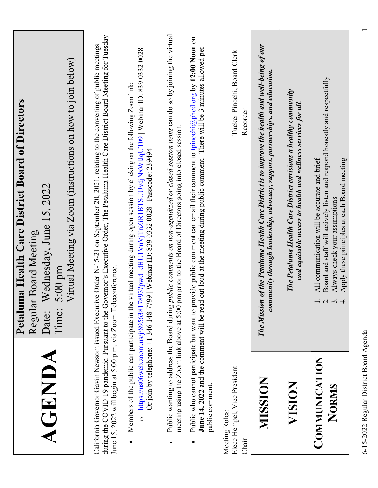| 5:00 pm<br>Time:<br>Date:<br>AGENDA                                                                                                                                                                                           | (instructions on how to join below)<br>Wednesday, June 15, 2022<br>Virtual Meeting via Zoom<br>Regular Board Meeting                                                                                                                                            |
|-------------------------------------------------------------------------------------------------------------------------------------------------------------------------------------------------------------------------------|-----------------------------------------------------------------------------------------------------------------------------------------------------------------------------------------------------------------------------------------------------------------|
| California Governor Gavin Newsom issued Executive Order N-15-21 on September 20<br>June 15, 2022 will begin at 5:00 p.m. via Zoom Teleconference.                                                                             | during the COVID-19 pandemic. Pursuant to the Governor's Executive Order, The Petaluma Health Care District Board Meeting for Tuesday<br>2021, relating to the convening of public meetings                                                                     |
| Members of the public can participate in the virtual meeting during open session by clicking on the following Zoom link:<br>Or join by telephone: +1 346 148 7799   Webinar ID: 839 0332 0028   Passcode: 239494<br>$\bullet$ | https://us06web.zoom.us/j/89563817893?pwd=dHU1VnVjTnZiR1BTSUUvdjNxWlJqUT09   Webinar ID: 839 0332 0028                                                                                                                                                          |
| meeting using the Zoom link above at 5:00 pm prior to the Board of Directors going into closed session.<br>Public wanting to address the Board during <i>public comments on non-agendized</i><br>$\bullet$                    | or closed session items can do so by joining the virtual                                                                                                                                                                                                        |
| public comment.                                                                                                                                                                                                               | Public who cannot participate but want to provide public comment can email their comment to tpinochi@phod.org by 12:00 Noon on<br>June 14, 2022 and the comment will be read out loud at the meeting during public comment. There will be 3 minutes allowed per |
| Elece Hempel, Vice President<br>Meeting Roles:<br>Chair                                                                                                                                                                       | Tucker Pinochi, Board Clerk<br>Recorder                                                                                                                                                                                                                         |
| MISSION                                                                                                                                                                                                                       | The Mission of the Petaluma Health Care District is to improve the health and well-being of our<br>community through leadership, advocacy, support, partnerships, and education.                                                                                |
| VISION                                                                                                                                                                                                                        | The Petaluma Health Care District envisions a healthy community<br>and equitable access to health and wellness services for all.                                                                                                                                |
| Board and staff will actively listen and respond honestly and respectfully<br>Always check your assumptions<br>$\ddot{a}$<br>$\overline{\mathcal{C}}$<br>COMMUNICATION<br>NORMS                                               | All communication will be accurate and brief                                                                                                                                                                                                                    |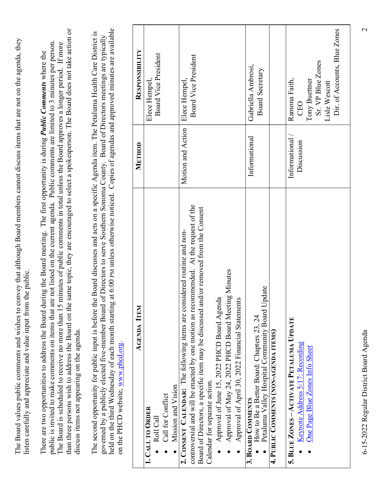| held on the third Wednesday of each month starting at 6:00 PM unless otherwise noticed. Copies of agendas and approved minutes are available<br>governed by a publicly elected five-member Board of Directors to serve Southern Sonoma County.<br>The second opportunity for public input is before the Board discusses and<br><b>AGENDA ITEM</b><br>on the PHCD website, www.phcd.org.                                                                                          | METHOD                        | acts on a specific Agenda item. The Petaluma Health Care District is<br>Board of Directors meetings are typically<br>RESPONSIBILITY |
|----------------------------------------------------------------------------------------------------------------------------------------------------------------------------------------------------------------------------------------------------------------------------------------------------------------------------------------------------------------------------------------------------------------------------------------------------------------------------------|-------------------------------|-------------------------------------------------------------------------------------------------------------------------------------|
| Mission and Vision<br>Call for Conflict<br>1. CALL TO ORDER<br>Roll Call<br>$\bullet$<br>$\bullet$<br>$\bullet$                                                                                                                                                                                                                                                                                                                                                                  |                               | Board Vice President<br>Elece Hempel,                                                                                               |
| At the request of the<br>Board of Directors, a specific item may be discussed and/or removed from the Consent<br>2. CONSENT CALENDAR: The following items are considered routine and non-<br>controversial and will be enacted by one motion as recommended.<br>Approval of May 24, 2022 PHCD Board Meeting Minutes<br>Approval of June 15, 2022 PHCD Board Agenda<br>Approval of April 30, 2022 Financial Statements<br>Calendar for separate action.<br>$\bullet$<br>$\bullet$ | Motion and Action             | Board Vice President<br>Elece Hempel,                                                                                               |
| How to Be a Better Board: Chapters 23, 24<br>Petaluma Valley Hospital Community Board Update<br>4. PUBLIC COMMENTS (NON-AGENDA ITEMS)<br>3. BOARD COMMENTS                                                                                                                                                                                                                                                                                                                       | Informational                 | Gabriella Ambrosi,<br>Board Secretary                                                                                               |
| 5. BLUE ZONES - ACTIVATE PETALUMA UPDATE<br>Keynote Address 5/17: Recording<br>One Page Blue Zones Info Sheet<br>$\bullet$<br>$\bullet$                                                                                                                                                                                                                                                                                                                                          | Informational /<br>Discussion | Dir. of Accounts, Blue Zones<br>Sr. VP Blue Zones<br>Ramona Faith,<br>Tony Buettner<br>Lisle Wescott<br><b>CEO</b>                  |
| 6-15-2022 Regular District Board Agenda                                                                                                                                                                                                                                                                                                                                                                                                                                          |                               | $\mathcal{L}$                                                                                                                       |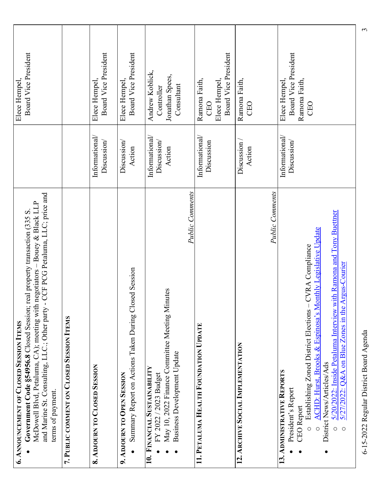| CCF PCG Petaluma, LLC; price and<br>- Bouey & Black LLP<br>Government Code §54956.8 Closed Session; real property transaction (335 S.<br>negotiators-<br>McDowell Blvd, Petaluma, CA); meeting with<br>and Marine St. Consulting, LLC.; Other party -<br>terms of payment.                                                                                                                                               | Elece Hempel,                               | Board Vice President |
|--------------------------------------------------------------------------------------------------------------------------------------------------------------------------------------------------------------------------------------------------------------------------------------------------------------------------------------------------------------------------------------------------------------------------|---------------------------------------------|----------------------|
| 7. PUBLIC COMMENT ON CLOSED SESSION ITEMS                                                                                                                                                                                                                                                                                                                                                                                |                                             |                      |
| Informational/<br>Discussion<br>8. ADJOURN TO CLOSED SESSION                                                                                                                                                                                                                                                                                                                                                             | Elece Hempel,                               | Board Vice President |
| Discussion<br>Action<br>Summary Report on Actions Taken During Closed Session<br>9. ADJOURN TO OPEN SESSION<br>$\bullet$                                                                                                                                                                                                                                                                                                 | Elece Hempel,                               | Board Vice President |
| Informational/<br>Discussion/<br>Action<br>Public Comments<br>May 10, 2022 Finance Committee Meeting Minutes<br><b>Business Development Update</b><br>10. FINANCIAL SUSTAINABILITY<br>FY 2022 / 2023 Budget<br>$\bullet$<br>$\bullet$                                                                                                                                                                                    | Jonathan Spees,<br>Consultant<br>Controller | Andrew Koblick,      |
| Informational/<br>Discussion<br>11. PETALUMA HEALTH FOUNDATION UPDATE                                                                                                                                                                                                                                                                                                                                                    | Ramona Faith,<br>Elece Hempel,<br>CEO       | Board Vice President |
| Discussion/<br>Action<br>Public Comments<br>12. ARCHIVE SOCIAL IMPLEMENTATION                                                                                                                                                                                                                                                                                                                                            | Ramona Faith,<br>CEO                        |                      |
| Informational/<br>Discussion/<br>$\frac{5/20/2022}{2}$ : Inside Petaluma Interview with Ramona and Tony Buettner<br>ACHD: Hurst, Brooks & Espinosa's Monthly Legislative Update<br>CVRA Compliance<br>Establishing Zoned District Elections<br>District News/Articles/Ads<br>13. ADMINISTRATIVE REPORTS<br>President's Report<br><b>CEO</b> Report<br>$\circ$<br>$\circ$<br>$\circ$<br>$\circ$<br>$\bullet$<br>$\bullet$ | Ramona Faith,<br>Elece Hempel,<br>CEO       | Board Vice President |
| 6-15-2022 Regular District Board Agenda                                                                                                                                                                                                                                                                                                                                                                                  |                                             |                      |